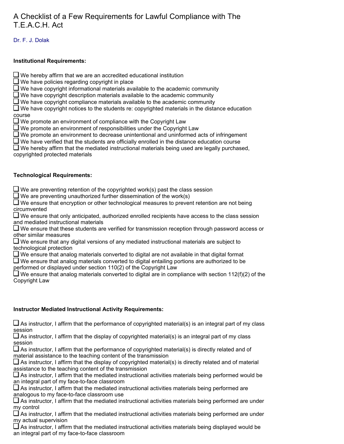# A Checklist of a Few Requirements for Lawful Compliance with The T.E.A.C.H. Act

# Dr. F. J. Dolak

#### **Institutional Requirements:**

 $\Box$  We hereby affirm that we are an accredited educational institution

 $\square$  We have policies regarding copyright in place

 $\square$  We have copyright informational materials available to the academic community

 $\square$  We have copyright description materials available to the academic community

 $\square$  We have copyright compliance materials available to the academic community

 $\square$  We have copyright notices to the students re: copyrighted materials in the distance education course

 $\Box$  We promote an environment of compliance with the Copyright Law

 $\Box$  We promote an environment of responsibilities under the Copyright Law

 $\Box$  We promote an environment to decrease unintentional and uninformed acts of infringement

 $\Box$  We have verified that the students are officially enrolled in the distance education course

 $\Box$  We hereby affirm that the mediated instructional materials being used are legally purchased, copyrighted protected materials

## **Technological Requirements:**

 $\Box$  We are preventing retention of the copyrighted work(s) past the class session

 $\square$  We are preventing unauthorized further dissemination of the work(s)

 $\square$  We ensure that encryption or other technological measures to prevent retention are not being circumvented

 $\square$  We ensure that only anticipated, authorized enrolled recipients have access to the class session and mediated instructional materials

 $\Box$  We ensure that these students are verified for transmission reception through password access or other similar measures

 $\Box$  We ensure that any digital versions of any mediated instructional materials are subject to technological protection

 $\Box$  We ensure that analog materials converted to digital are not available in that digital format

 $\Box$  We ensure that analog materials converted to digital entailing portions are authorized to be performed or displayed under section 110(2) of the Copyright Law

 $\square$  We ensure that analog materials converted to digital are in compliance with section 112(f)(2) of the Copyright Law

## **Instructor Mediated Instructional Activity Requirements:**

 $\Box$  As instructor, I affirm that the performance of copyrighted material(s) is an integral part of my class session

 $\Box$  As instructor, I affirm that the display of copyrighted material(s) is an integral part of my class session

 $\Box$  As instructor, I affirm that the performance of copyrighted material(s) is directly related and of material assistance to the teaching content of the transmission

 $\Box$  As instructor, I affirm that the display of copyrighted material(s) is directly related and of material assistance to the teaching content of the transmission

 $\Box$  As instructor, I affirm that the mediated instructional activities materials being performed would be an integral part of my face-to-face classroom

 $\Box$  As instructor, I affirm that the mediated instructional activities materials being performed are analogous to my face-to-face classroom use

 $\Box$  As instructor, I affirm that the mediated instructional activities materials being performed are under my control

 $\Box$  As instructor, I affirm that the mediated instructional activities materials being performed are under my actual supervision

 $\Box$  As instructor, I affirm that the mediated instructional activities materials being displayed would be an integral part of my face-to-face classroom